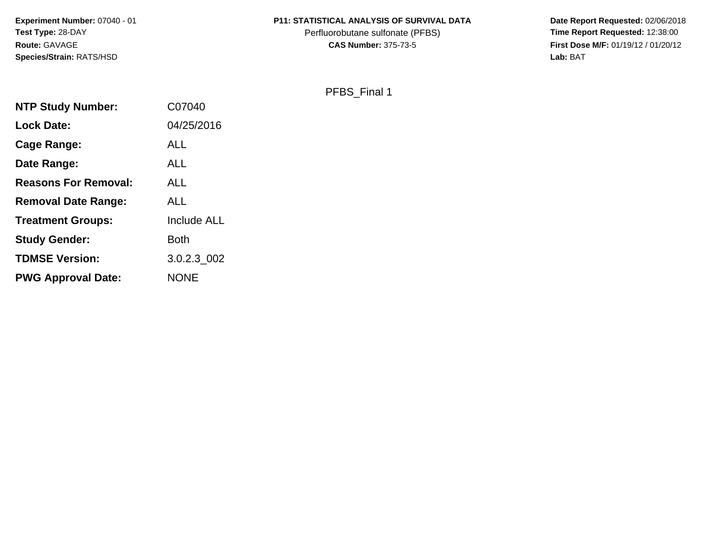**Experiment Number:** 07040 - 01**Test Type:** 28-DAY**Route:** GAVAGE**Species/Strain:** RATS/HSD

### **P11: STATISTICAL ANALYSIS OF SURVIVAL DATA**

Perfluorobutane sulfonate (PFBS)<br>**CAS Number:** 375-73-5

Date Report Requested: 02/06/2018<br>Time Report Requested: 12:38:00 **First Dose M/F:** 01/19/12 / 01/20/12<br>Lab: BAT **Lab:** BAT

PFBS\_Final 1

| <b>NTP Study Number:</b>    | C07040             |
|-----------------------------|--------------------|
| Lock Date:                  | 04/25/2016         |
| <b>Cage Range:</b>          | <b>ALL</b>         |
| Date Range:                 | <b>ALL</b>         |
| <b>Reasons For Removal:</b> | <b>ALL</b>         |
| <b>Removal Date Range:</b>  | <b>ALL</b>         |
| <b>Treatment Groups:</b>    | <b>Include ALL</b> |
| <b>Study Gender:</b>        | <b>Both</b>        |
| <b>TDMSE Version:</b>       | 3.0.2.3 002        |
| <b>PWG Approval Date:</b>   | <b>NONE</b>        |
|                             |                    |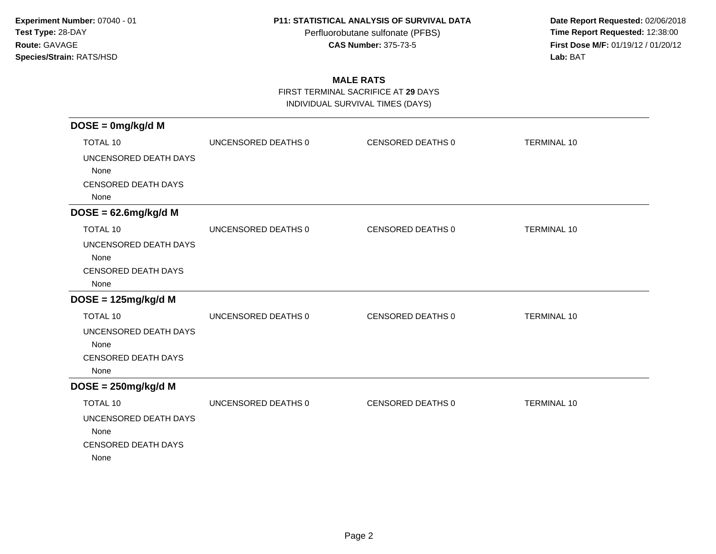Perfluorobutane sulfonate (PFBS)<br>**CAS Number:** 375-73-5

 **Date Report Requested:** 02/06/2018 **First Dose M/F:** 01/19/12 / 01/20/12<br>**Lab:** BAT **Lab:** BAT

# **MALE RATS**

FIRST TERMINAL SACRIFICE AT **29** DAYS

INDIVIDUAL SURVIVAL TIMES (DAYS)

| $DOSE = 0mg/kg/d$ M                                                                    |                     |                   |                    |
|----------------------------------------------------------------------------------------|---------------------|-------------------|--------------------|
| <b>TOTAL 10</b>                                                                        | UNCENSORED DEATHS 0 | CENSORED DEATHS 0 | <b>TERMINAL 10</b> |
| UNCENSORED DEATH DAYS<br>None<br><b>CENSORED DEATH DAYS</b><br>None                    |                     |                   |                    |
| $DOSE = 62.6mg/kg/d M$                                                                 |                     |                   |                    |
| <b>TOTAL 10</b>                                                                        | UNCENSORED DEATHS 0 | CENSORED DEATHS 0 | <b>TERMINAL 10</b> |
| UNCENSORED DEATH DAYS<br>None<br>CENSORED DEATH DAYS<br>None                           |                     |                   |                    |
| $DOSE = 125mg/kg/d M$                                                                  |                     |                   |                    |
| <b>TOTAL 10</b>                                                                        | UNCENSORED DEATHS 0 | CENSORED DEATHS 0 | <b>TERMINAL 10</b> |
| UNCENSORED DEATH DAYS<br>None<br><b>CENSORED DEATH DAYS</b><br>None                    |                     |                   |                    |
| $DOSE = 250mg/kg/d$ M                                                                  |                     |                   |                    |
| <b>TOTAL 10</b><br>UNCENSORED DEATH DAYS<br>None<br><b>CENSORED DEATH DAYS</b><br>None | UNCENSORED DEATHS 0 | CENSORED DEATHS 0 | <b>TERMINAL 10</b> |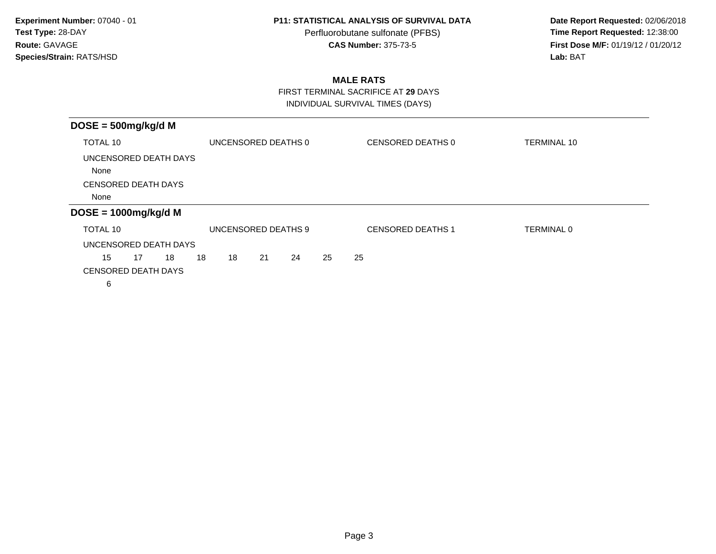Perfluorobutane sulfonate (PFBS)<br>**CAS Number:** 375-73-5

 **Date Report Requested:** 02/06/2018 **First Dose M/F:** 01/19/12 / 01/20/12<br>**Lab:** BAT **Lab:** BAT

## **MALE RATS**

 FIRST TERMINAL SACRIFICE AT **29** DAYSINDIVIDUAL SURVIVAL TIMES (DAYS)

| $DOSE = 500mg/kg/d M$      |    |    |    |                     |    |    |    |    |                          |                    |  |
|----------------------------|----|----|----|---------------------|----|----|----|----|--------------------------|--------------------|--|
| TOTAL 10                   |    |    |    | UNCENSORED DEATHS 0 |    |    |    |    | CENSORED DEATHS 0        | <b>TERMINAL 10</b> |  |
| UNCENSORED DEATH DAYS      |    |    |    |                     |    |    |    |    |                          |                    |  |
| None                       |    |    |    |                     |    |    |    |    |                          |                    |  |
| <b>CENSORED DEATH DAYS</b> |    |    |    |                     |    |    |    |    |                          |                    |  |
| None                       |    |    |    |                     |    |    |    |    |                          |                    |  |
| $DOSE = 1000mg/kg/d M$     |    |    |    |                     |    |    |    |    |                          |                    |  |
| TOTAL 10                   |    |    |    | UNCENSORED DEATHS 9 |    |    |    |    | <b>CENSORED DEATHS 1</b> | TERMINAL 0         |  |
| UNCENSORED DEATH DAYS      |    |    |    |                     |    |    |    |    |                          |                    |  |
| 15                         | 17 | 18 | 18 | 18                  | 21 | 24 | 25 | 25 |                          |                    |  |
| <b>CENSORED DEATH DAYS</b> |    |    |    |                     |    |    |    |    |                          |                    |  |
| 6                          |    |    |    |                     |    |    |    |    |                          |                    |  |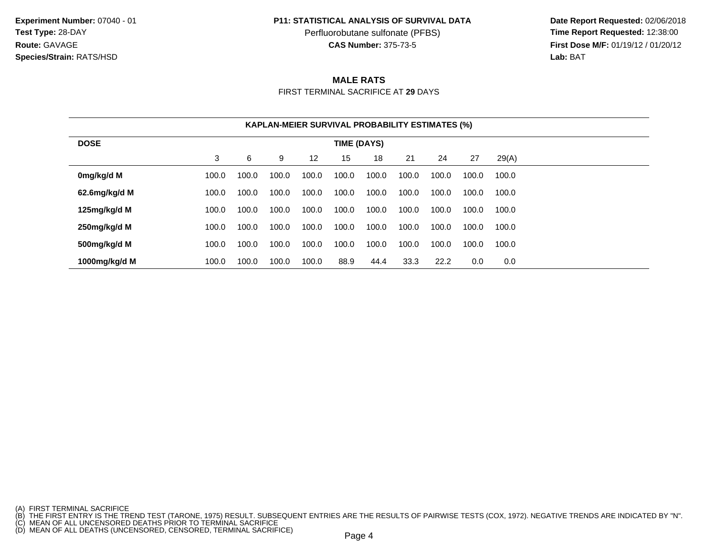**Experiment Number:** 07040 - 01**Test Type:** 28-DAY**Route:** GAVAGE**Species/Strain:** RATS/HSD

#### **P11: STATISTICAL ANALYSIS OF SURVIVAL DATA**

Perfluorobutane sulfonate (PFBS)<br>**CAS Number:** 375-73-5

 **Date Report Requested:** 02/06/2018 **First Dose M/F:** 01/19/12 / 01/20/12<br>**Lab:** BAT **Lab:** BAT

## **MALE RATS**

FIRST TERMINAL SACRIFICE AT **29** DAYS

|               |       |       |       |                   | <b>KAPLAN-MEIER SURVIVAL PROBABILITY ESTIMATES (%)</b> |       |       |       |       |       |
|---------------|-------|-------|-------|-------------------|--------------------------------------------------------|-------|-------|-------|-------|-------|
| <b>DOSE</b>   |       |       |       |                   | TIME (DAYS)                                            |       |       |       |       |       |
|               | 3     | 6     | 9     | $12 \overline{ }$ | 15                                                     | 18    | 21    | 24    | 27    | 29(A) |
| 0mg/kg/d M    | 100.0 | 100.0 | 100.0 | 100.0             | 100.0                                                  | 100.0 | 100.0 | 100.0 | 100.0 | 100.0 |
| 62.6mg/kg/d M | 100.0 | 100.0 | 100.0 | 100.0             | 100.0                                                  | 100.0 | 100.0 | 100.0 | 100.0 | 100.0 |
| 125mg/kg/d M  | 100.0 | 100.0 | 100.0 | 100.0             | 100.0                                                  | 100.0 | 100.0 | 100.0 | 100.0 | 100.0 |
| 250mg/kg/d M  | 100.0 | 100.0 | 100.0 | 100.0             | 100.0                                                  | 100.0 | 100.0 | 100.0 | 100.0 | 100.0 |
| 500mg/kg/d M  | 100.0 | 100.0 | 100.0 | 100.0             | 100.0                                                  | 100.0 | 100.0 | 100.0 | 100.0 | 100.0 |
| 1000mg/kg/d M | 100.0 | 100.0 | 100.0 | 100.0             | 88.9                                                   | 44.4  | 33.3  | 22.2  | 0.0   | 0.0   |

<sup>(</sup>A) FIRST TERMINAL SACRIFICE<br>(B) THE FIRST ENTRY IS THE TREND TEST (TARONE, 1975) RESULT. SUBSEQUENT ENTRIES ARE THE RESULTS OF PAIRWISE TESTS (COX, 1972). NEGATIVE TRENDS ARE INDICATED BY "N".<br>(C) MEAN OF ALL UNCENSORED D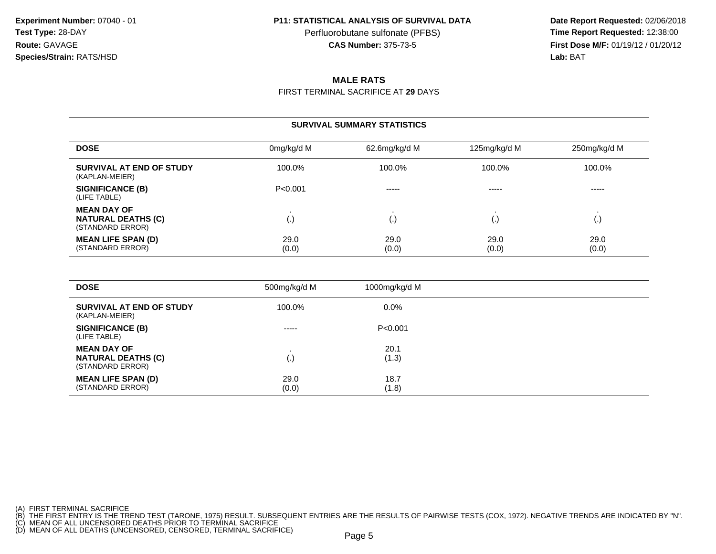Perfluorobutane sulfonate (PFBS)<br>**CAS Number:** 375-73-5

 **Date Report Requested:** 02/06/2018 **First Dose M/F:** 01/19/12 / 01/20/12<br>**Lab:** BAT **Lab:** BAT

## **MALE RATS**

FIRST TERMINAL SACRIFICE AT **29** DAYS

#### **SURVIVAL SUMMARY STATISTICS**

| <b>DOSE</b>                                                         | 0mg/kg/d M    | 62.6mg/kg/d M | 125mg/kg/d M  | 250mg/kg/d M  |
|---------------------------------------------------------------------|---------------|---------------|---------------|---------------|
| <b>SURVIVAL AT END OF STUDY</b><br>(KAPLAN-MEIER)                   | 100.0%        | 100.0%        | 100.0%        | 100.0%        |
| <b>SIGNIFICANCE (B)</b><br>(LIFE TABLE)                             | P < 0.001     | $- - - - -$   | -----         | -----         |
| <b>MEAN DAY OF</b><br><b>NATURAL DEATHS (C)</b><br>(STANDARD ERROR) | (.)           | l٠            | ۱.            | ι٠,           |
| <b>MEAN LIFE SPAN (D)</b><br>(STANDARD ERROR)                       | 29.0<br>(0.0) | 29.0<br>(0.0) | 29.0<br>(0.0) | 29.0<br>(0.0) |

| <b>DOSE</b>                                                         | 500mg/kg/d M  | 1000mg/kg/d M |  |
|---------------------------------------------------------------------|---------------|---------------|--|
| SURVIVAL AT END OF STUDY<br>(KAPLAN-MEIER)                          | 100.0%        | $0.0\%$       |  |
| <b>SIGNIFICANCE (B)</b><br>(LIFE TABLE)                             | $- - - - -$   | P<0.001       |  |
| <b>MEAN DAY OF</b><br><b>NATURAL DEATHS (C)</b><br>(STANDARD ERROR) | (.)           | 20.1<br>(1.3) |  |
| <b>MEAN LIFE SPAN (D)</b><br>(STANDARD ERROR)                       | 29.0<br>(0.0) | 18.7<br>(1.8) |  |

- 
- 

<sup>(</sup>A) FIRST TERMINAL SACRIFICE<br>(B) THE FIRST ENTRY IS THE TREND TEST (TARONE, 1975) RESULT. SUBSEQUENT ENTRIES ARE THE RESULTS OF PAIRWISE TESTS (COX, 1972). NEGATIVE TRENDS ARE INDICATED BY "N".<br>(C) MEAN OF ALL UNCENSORED D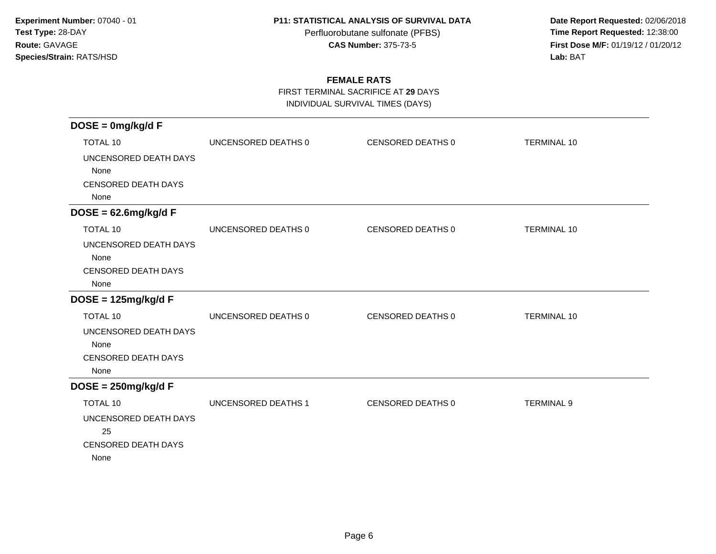Perfluorobutane sulfonate (PFBS)<br>**CAS Number:** 375-73-5

 **Date Report Requested:** 02/06/2018 **First Dose M/F:** 01/19/12 / 01/20/12<br>**Lab:** BAT **Lab:** BAT

## **FEMALE RATS**

FIRST TERMINAL SACRIFICE AT **29** DAYS

INDIVIDUAL SURVIVAL TIMES (DAYS)

| $DOSE = 0mg/kg/dF$         |                     |                   |                    |
|----------------------------|---------------------|-------------------|--------------------|
| <b>TOTAL 10</b>            | UNCENSORED DEATHS 0 | CENSORED DEATHS 0 | <b>TERMINAL 10</b> |
| UNCENSORED DEATH DAYS      |                     |                   |                    |
| None                       |                     |                   |                    |
| <b>CENSORED DEATH DAYS</b> |                     |                   |                    |
| None                       |                     |                   |                    |
| $DOSE = 62.6mg/kg/dF$      |                     |                   |                    |
| <b>TOTAL 10</b>            | UNCENSORED DEATHS 0 | CENSORED DEATHS 0 | <b>TERMINAL 10</b> |
| UNCENSORED DEATH DAYS      |                     |                   |                    |
| None                       |                     |                   |                    |
| <b>CENSORED DEATH DAYS</b> |                     |                   |                    |
| None                       |                     |                   |                    |
| $DOSE = 125mg/kg/dF$       |                     |                   |                    |
| <b>TOTAL 10</b>            | UNCENSORED DEATHS 0 | CENSORED DEATHS 0 | <b>TERMINAL 10</b> |
| UNCENSORED DEATH DAYS      |                     |                   |                    |
| None                       |                     |                   |                    |
| <b>CENSORED DEATH DAYS</b> |                     |                   |                    |
| None                       |                     |                   |                    |
| $DOSE = 250mg/kg/dF$       |                     |                   |                    |
| TOTAL 10                   | UNCENSORED DEATHS 1 | CENSORED DEATHS 0 | <b>TERMINAL 9</b>  |
| UNCENSORED DEATH DAYS      |                     |                   |                    |
| 25                         |                     |                   |                    |
| <b>CENSORED DEATH DAYS</b> |                     |                   |                    |
| None                       |                     |                   |                    |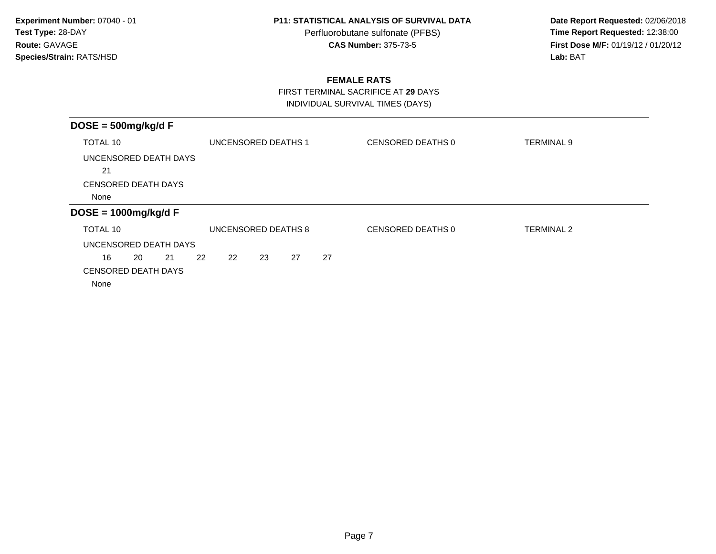Perfluorobutane sulfonate (PFBS)<br>**CAS Number:** 375-73-5

 **Date Report Requested:** 02/06/2018 **First Dose M/F:** 01/19/12 / 01/20/12<br>Lab: BAT **Lab:** BAT

## **FEMALE RATS**

FIRST TERMINAL SACRIFICE AT **29** DAYS

INDIVIDUAL SURVIVAL TIMES (DAYS)

| $DOSE = 500mg/kg/dF$       |                 |                     |    |    |                   |                   |  |
|----------------------------|-----------------|---------------------|----|----|-------------------|-------------------|--|
| TOTAL 10                   |                 | UNCENSORED DEATHS 1 |    |    | CENSORED DEATHS 0 | <b>TERMINAL 9</b> |  |
| UNCENSORED DEATH DAYS      |                 |                     |    |    |                   |                   |  |
| 21                         |                 |                     |    |    |                   |                   |  |
| <b>CENSORED DEATH DAYS</b> |                 |                     |    |    |                   |                   |  |
| None                       |                 |                     |    |    |                   |                   |  |
| $DOSE = 1000mg/kg/dF$      |                 |                     |    |    |                   |                   |  |
| TOTAL 10                   |                 | UNCENSORED DEATHS 8 |    |    | CENSORED DEATHS 0 | TERMINAL 2        |  |
| UNCENSORED DEATH DAYS      |                 |                     |    |    |                   |                   |  |
| 16<br>20<br>21             | 22<br><b>22</b> | 23                  | 27 | 27 |                   |                   |  |
| <b>CENSORED DEATH DAYS</b> |                 |                     |    |    |                   |                   |  |
| None                       |                 |                     |    |    |                   |                   |  |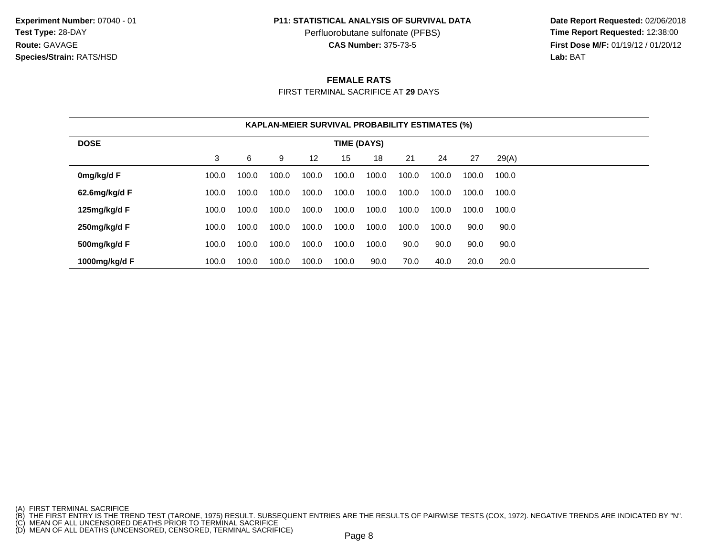**Experiment Number:** 07040 - 01**Test Type:** 28-DAY**Route:** GAVAGE**Species/Strain:** RATS/HSD

#### **P11: STATISTICAL ANALYSIS OF SURVIVAL DATA**

Perfluorobutane sulfonate (PFBS)<br>**CAS Number:** 375-73-5

 **Date Report Requested:** 02/06/2018 **First Dose M/F:** 01/19/12 / 01/20/12<br>**Lab:** BAT **Lab:** BAT

### **FEMALE RATS**

FIRST TERMINAL SACRIFICE AT **29** DAYS

|               |       |       |       |                   | <b>KAPLAN-MEIER SURVIVAL PROBABILITY ESTIMATES (%)</b> |       |       |       |       |       |  |
|---------------|-------|-------|-------|-------------------|--------------------------------------------------------|-------|-------|-------|-------|-------|--|
| <b>DOSE</b>   |       |       |       |                   | TIME (DAYS)                                            |       |       |       |       |       |  |
|               | 3     | 6     | 9     | $12 \overline{ }$ | 15                                                     | 18    | 21    | 24    | 27    | 29(A) |  |
| 0mg/kg/d F    | 100.0 | 100.0 | 100.0 | 100.0             | 100.0                                                  | 100.0 | 100.0 | 100.0 | 100.0 | 100.0 |  |
| 62.6mg/kg/d F | 100.0 | 100.0 | 100.0 | 100.0             | 100.0                                                  | 100.0 | 100.0 | 100.0 | 100.0 | 100.0 |  |
| 125mg/kg/d F  | 100.0 | 100.0 | 100.0 | 100.0             | 100.0                                                  | 100.0 | 100.0 | 100.0 | 100.0 | 100.0 |  |
| 250mg/kg/d F  | 100.0 | 100.0 | 100.0 | 100.0             | 100.0                                                  | 100.0 | 100.0 | 100.0 | 90.0  | 90.0  |  |
| 500mg/kg/d F  | 100.0 | 100.0 | 100.0 | 100.0             | 100.0                                                  | 100.0 | 90.0  | 90.0  | 90.0  | 90.0  |  |
| 1000mg/kg/d F | 100.0 | 100.0 | 100.0 | 100.0             | 100.0                                                  | 90.0  | 70.0  | 40.0  | 20.0  | 20.0  |  |

<sup>(</sup>A) FIRST TERMINAL SACRIFICE<br>(B) THE FIRST ENTRY IS THE TREND TEST (TARONE, 1975) RESULT. SUBSEQUENT ENTRIES ARE THE RESULTS OF PAIRWISE TESTS (COX, 1972). NEGATIVE TRENDS ARE INDICATED BY "N".<br>(C) MEAN OF ALL UNCENSORED D